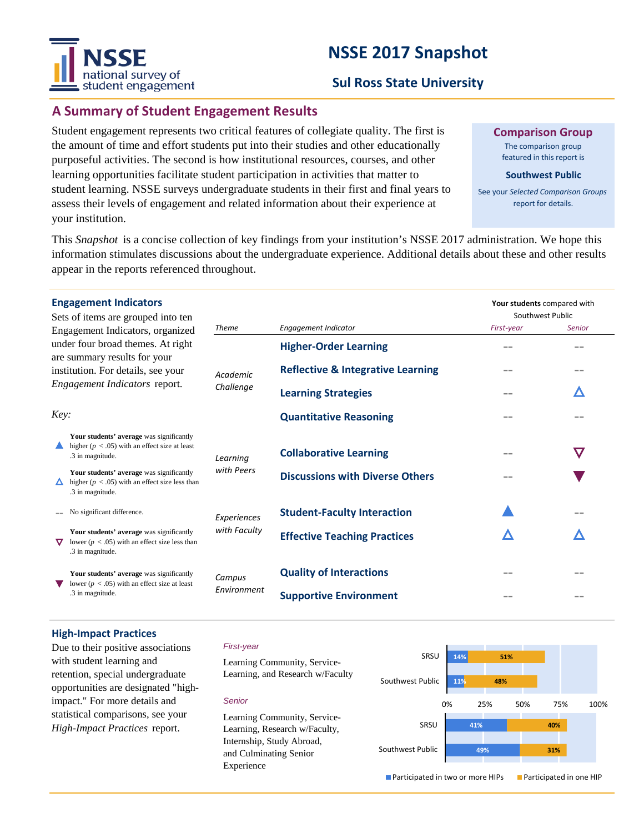# **NSSE 2017 Snapshot**



## **Sul Ross State University**

# **A Summary of Student Engagement Results**

Student engagement represents two critical features of collegiate quality. The first is the amount of time and effort students put into their studies and other educationally purposeful activities. The second is how institutional resources, courses, and other learning opportunities facilitate student participation in activities that matter to student learning. NSSE surveys undergraduate students in their first and final years to assess their levels of engagement and related information about their experience at your institution.

**Comparison Group**

The comparison group featured in this report is

#### **Southwest Public**

See your *Selected Comparison Groups*  report for details.

**Your students** compared with

This *Snapshot* is a concise collection of key findings from your institution's NSSE 2017 administration. We hope this information stimulates discussions about the undergraduate experience. Additional details about these and other results appear in the reports referenced throughout.

### **Engagement Indicators**

| Sets of items are grouped into ten<br>Engagement Indicators, organized<br>under four broad themes. At right<br>are summary results for your<br>institution. For details, see your<br>Engagement Indicators report. |                                                                                                                    | <b>Theme</b>          |                                              | Southwest Public |               |
|--------------------------------------------------------------------------------------------------------------------------------------------------------------------------------------------------------------------|--------------------------------------------------------------------------------------------------------------------|-----------------------|----------------------------------------------|------------------|---------------|
|                                                                                                                                                                                                                    |                                                                                                                    |                       | <b>Engagement Indicator</b>                  | First-year       | <b>Senior</b> |
|                                                                                                                                                                                                                    |                                                                                                                    | Academic<br>Challenge | <b>Higher-Order Learning</b>                 | --               |               |
|                                                                                                                                                                                                                    |                                                                                                                    |                       | <b>Reflective &amp; Integrative Learning</b> |                  | --            |
|                                                                                                                                                                                                                    |                                                                                                                    |                       | <b>Learning Strategies</b>                   |                  | Δ             |
| Key:                                                                                                                                                                                                               |                                                                                                                    |                       | <b>Quantitative Reasoning</b>                |                  |               |
|                                                                                                                                                                                                                    | Your students' average was significantly<br>higher ( $p < .05$ ) with an effect size at least<br>.3 in magnitude.  | Learning              | <b>Collaborative Learning</b>                |                  | $\bm{\nabla}$ |
|                                                                                                                                                                                                                    | Your students' average was significantly<br>higher ( $p < .05$ ) with an effect size less than<br>.3 in magnitude. | with Peers            | <b>Discussions with Diverse Others</b>       |                  |               |
|                                                                                                                                                                                                                    | No significant difference.                                                                                         | Experiences           | <b>Student-Faculty Interaction</b>           |                  |               |
| ▽                                                                                                                                                                                                                  | Your students' average was significantly<br>lower ( $p < .05$ ) with an effect size less than<br>.3 in magnitude.  | with Faculty          | <b>Effective Teaching Practices</b>          |                  | 71            |
|                                                                                                                                                                                                                    | Your students' average was significantly<br>lower ( $p < .05$ ) with an effect size at least<br>.3 in magnitude.   | Campus<br>Environment | <b>Quality of Interactions</b>               | $=$ $-$          | --            |
|                                                                                                                                                                                                                    |                                                                                                                    |                       | <b>Supportive Environment</b>                |                  |               |

#### **High-Impact Practices**

Due to their positive associations with student learning and retention, special undergraduate opportunities are designated "highimpact." For more details and statistical comparisons, see your *High-Impact Practices* report.

#### *First-year*

*Senior*

Experience



**Participated in two or more HIPs Participated in one HIP**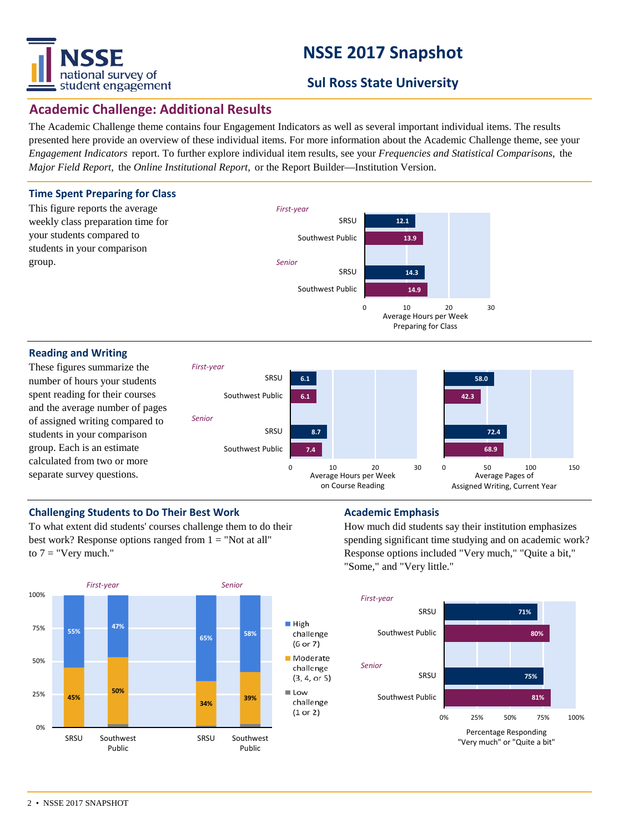

# **NSSE 2017 Snapshot**

# **Sul Ross State University**

# **Academic Challenge: Additional Results**

The Academic Challenge theme contains four Engagement Indicators as well as several important individual items. The results presented here provide an overview of these individual items. For more information about the Academic Challenge theme, see your *Engagement Indicators* report. To further explore individual item results, see your *Frequencies and Statistical Comparisons,* the *Major Field Report,* the *Online Institutional Report,* or the Report Builder—Institution Version.



#### **Reading and Writing**

These figures summarize the number of hours your students spent reading for their courses and the average number of pages of assigned writing compared to students in your comparison group. Each is an estimate calculated from two or more separate survey questions.



### **Challenging Students to Do Their Best Work <b>Academic Emphasis**

To what extent did students' courses challenge them to do their best work? Response options ranged from  $1 = "Not at all"$ to  $7 =$  "Very much."



How much did students say their institution emphasizes spending significant time studying and on academic work? Response options included "Very much," "Quite a bit," "Some," and "Very little."

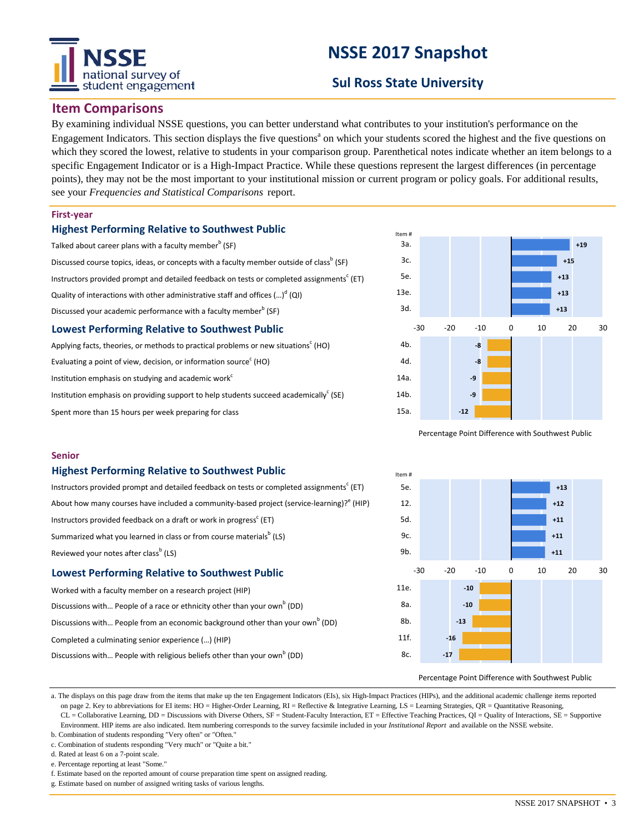# national survey of student engagement

# **NSSE 2017 Snapshot**

# **Sul Ross State University**

### **Item Comparisons**

By examining individual NSSE questions, you can better understand what contributes to your institution's performance on the Engagement Indicators. This section displays the five questions<sup>a</sup> on which your students scored the highest and the five questions on which they scored the lowest, relative to students in your comparison group. Parenthetical notes indicate whether an item belongs to a specific Engagement Indicator or is a High-Impact Practice. While these questions represent the largest differences (in percentage points), they may not be the most important to your institutional mission or current program or policy goals. For additional results, see your *Frequencies and Statistical Comparisons* report.

#### **First-year**

#### **Highest Performing Relative to Southwest Public**

| Talked about career plans with a faculty member <sup>b</sup> (SF)                                           |  |  |  |  |  |
|-------------------------------------------------------------------------------------------------------------|--|--|--|--|--|
| Discussed course topics, ideas, or concepts with a faculty member outside of class <sup>b</sup> (SF)        |  |  |  |  |  |
| Instructors provided prompt and detailed feedback on tests or completed assignments <sup>c</sup> (ET)       |  |  |  |  |  |
| Quality of interactions with other administrative staff and offices $(\cdot\cdot\cdot)^d$ (QI)              |  |  |  |  |  |
| Discussed your academic performance with a faculty member <sup>b</sup> (SF)                                 |  |  |  |  |  |
| <b>Lowest Performing Relative to Southwest Public</b>                                                       |  |  |  |  |  |
| Applying facts, theories, or methods to practical problems or new situations <sup><math>c</math></sup> (HO) |  |  |  |  |  |

Evaluating a point of view, decision, or information source $^{\rm c}$  (HO)

Institution emphasis on studying and academic work<sup>c</sup>

Institution emphasis on providing support to help students succeed academically<sup>c</sup> (SE)

Spent more than 15 hours per week preparing for class



Percentage Point Difference with Southwest Public

#### **Senior**

#### **Highest Performing Relative to Southwest Public**

| Instructors provided prompt and detailed feedback on tests or completed assignments <sup>c</sup> (ET) |  |  |  |  |  |
|-------------------------------------------------------------------------------------------------------|--|--|--|--|--|
| About how many courses have included a community-based project (service-learning)? (HIP)              |  |  |  |  |  |
| Instructors provided feedback on a draft or work in progress <sup>c</sup> (ET)                        |  |  |  |  |  |
| Summarized what you learned in class or from course materials <sup>o</sup> (LS)                       |  |  |  |  |  |
| Reviewed your notes after class <sup>b</sup> (LS)                                                     |  |  |  |  |  |

#### **Lowest Performing Relative to Southwest Public**

| Worked with a faculty member on a research project (HIP)                                  |  |  |  |  |  |  |
|-------------------------------------------------------------------------------------------|--|--|--|--|--|--|
| Discussions with People of a race or ethnicity other than your own <sup>b</sup> (DD)      |  |  |  |  |  |  |
| Discussions with People from an economic background other than your own <sup>b</sup> (DD) |  |  |  |  |  |  |
| Completed a culminating senior experience () (HIP)                                        |  |  |  |  |  |  |

Discussions with... People with religious beliefs other than your own<sup>b</sup> (DD)



Percentage Point Difference with Southwest Public

a. The displays on this page draw from the items that make up the ten Engagement Indicators (EIs), six High-Impact Practices (HIPs), and the additional academic challenge items reported on page 2. Key to abbreviations for EI items: HO = Higher-Order Learning, RI = Reflective & Integrative Learning, LS = Learning Strategies, QR = Quantitative Reasoning, CL = Collaborative Learning, DD = Discussions with Diverse Others, SF = Student-Faculty Interaction, ET = Effective Teaching Practices, QI = Quality of Interactions, SE = Supportive Environment. HIP items are also indicated. Item numbering corresponds to the survey facsimile included in your *Institutional Report* and available on the NSSE website.

- b. Combination of students responding "Very often" or "Often." c. Combination of students responding "Very much" or "Quite a bit."
- d. Rated at least 6 on a 7-point scale.

- e. Percentage reporting at least "Some."
- f. Estimate based on the reported amount of course preparation time spent on assigned reading.
- g. Estimate based on number of assigned writing tasks of various lengths.